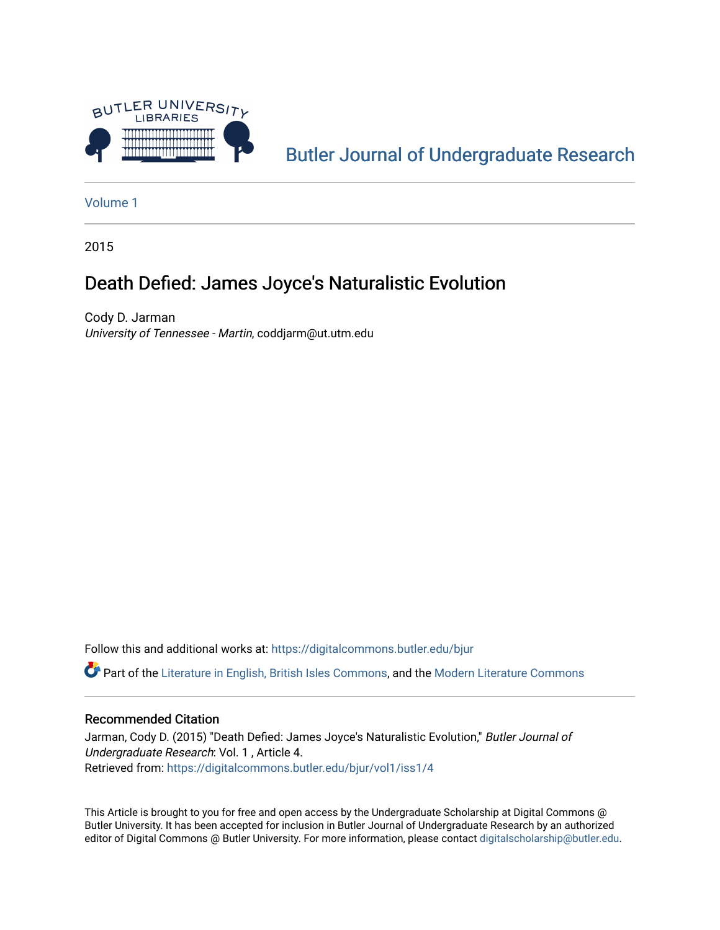

[Butler Journal of Undergraduate Research](https://digitalcommons.butler.edu/bjur) 

[Volume 1](https://digitalcommons.butler.edu/bjur/vol1)

2015

# Death Defied: James Joyce's Naturalistic Evolution

Cody D. Jarman University of Tennessee - Martin, coddjarm@ut.utm.edu

Follow this and additional works at: [https://digitalcommons.butler.edu/bjur](https://digitalcommons.butler.edu/bjur?utm_source=digitalcommons.butler.edu%2Fbjur%2Fvol1%2Fiss1%2F4&utm_medium=PDF&utm_campaign=PDFCoverPages) 

Part of the [Literature in English, British Isles Commons](http://network.bepress.com/hgg/discipline/456?utm_source=digitalcommons.butler.edu%2Fbjur%2Fvol1%2Fiss1%2F4&utm_medium=PDF&utm_campaign=PDFCoverPages), and the [Modern Literature Commons](http://network.bepress.com/hgg/discipline/1050?utm_source=digitalcommons.butler.edu%2Fbjur%2Fvol1%2Fiss1%2F4&utm_medium=PDF&utm_campaign=PDFCoverPages)

### Recommended Citation

Jarman, Cody D. (2015) "Death Defied: James Joyce's Naturalistic Evolution," Butler Journal of Undergraduate Research: Vol. 1 , Article 4. Retrieved from: [https://digitalcommons.butler.edu/bjur/vol1/iss1/4](https://digitalcommons.butler.edu/bjur/vol1/iss1/4?utm_source=digitalcommons.butler.edu%2Fbjur%2Fvol1%2Fiss1%2F4&utm_medium=PDF&utm_campaign=PDFCoverPages) 

This Article is brought to you for free and open access by the Undergraduate Scholarship at Digital Commons @ Butler University. It has been accepted for inclusion in Butler Journal of Undergraduate Research by an authorized editor of Digital Commons @ Butler University. For more information, please contact [digitalscholarship@butler.edu.](mailto:digitalscholarship@butler.edu)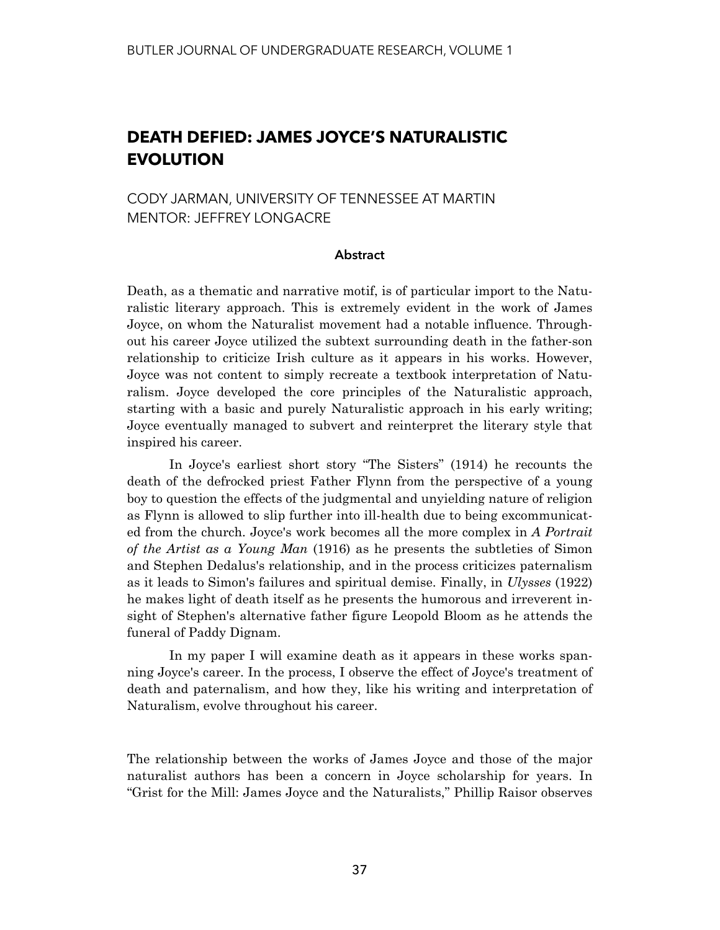## **DEATH DEFIED: JAMES JOYCE'S NATURALISTIC EVOLUTION**

CODY JARMAN, UNIVERSITY OF TENNESSEE AT MARTIN MENTOR: JEFFREY LONGACRE

### **Abstract**

Death, as a thematic and narrative motif, is of particular import to the Naturalistic literary approach. This is extremely evident in the work of James Joyce, on whom the Naturalist movement had a notable influence. Throughout his career Joyce utilized the subtext surrounding death in the father-son relationship to criticize Irish culture as it appears in his works. However, Joyce was not content to simply recreate a textbook interpretation of Naturalism. Joyce developed the core principles of the Naturalistic approach, starting with a basic and purely Naturalistic approach in his early writing; Joyce eventually managed to subvert and reinterpret the literary style that inspired his career.

 In Joyce's earliest short story "The Sisters" (1914) he recounts the death of the defrocked priest Father Flynn from the perspective of a young boy to question the effects of the judgmental and unyielding nature of religion as Flynn is allowed to slip further into ill-health due to being excommunicated from the church. Joyce's work becomes all the more complex in *A Portrait of the Artist as a Young Man* (1916) as he presents the subtleties of Simon and Stephen Dedalus's relationship, and in the process criticizes paternalism as it leads to Simon's failures and spiritual demise. Finally, in *Ulysses* (1922) he makes light of death itself as he presents the humorous and irreverent insight of Stephen's alternative father figure Leopold Bloom as he attends the funeral of Paddy Dignam.

 In my paper I will examine death as it appears in these works spanning Joyce's career. In the process, I observe the effect of Joyce's treatment of death and paternalism, and how they, like his writing and interpretation of Naturalism, evolve throughout his career.

The relationship between the works of James Joyce and those of the major naturalist authors has been a concern in Joyce scholarship for years. In "Grist for the Mill: James Joyce and the Naturalists," Phillip Raisor observes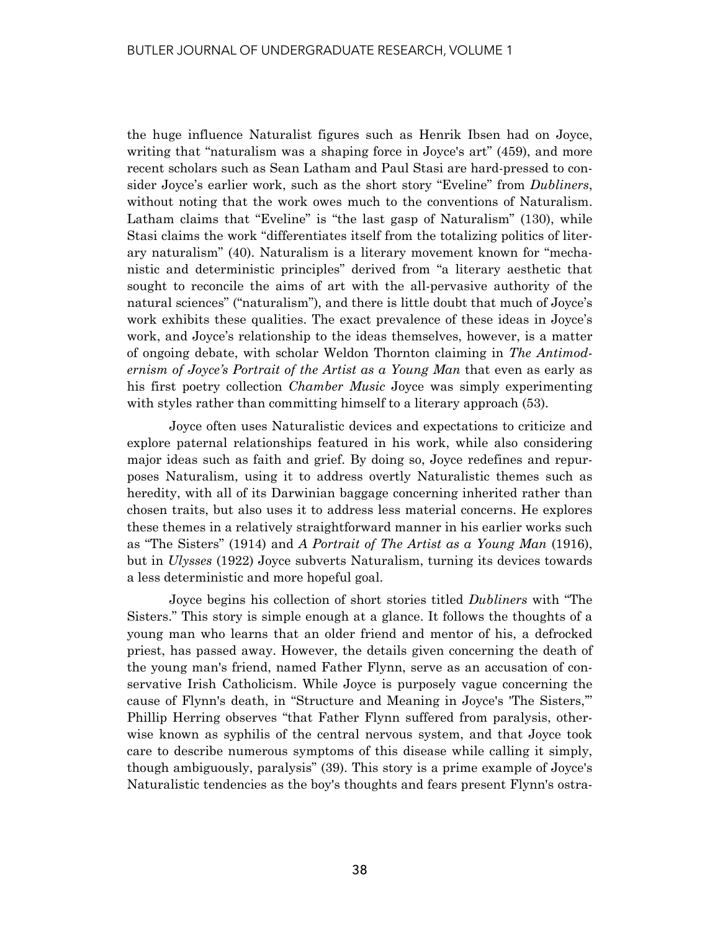the huge influence Naturalist figures such as Henrik Ibsen had on Joyce, writing that "naturalism was a shaping force in Joyce's art" (459), and more recent scholars such as Sean Latham and Paul Stasi are hard-pressed to consider Joyce's earlier work, such as the short story "Eveline" from *Dubliners*, without noting that the work owes much to the conventions of Naturalism. Latham claims that "Eveline" is "the last gasp of Naturalism" (130), while Stasi claims the work "differentiates itself from the totalizing politics of literary naturalism" (40). Naturalism is a literary movement known for "mechanistic and deterministic principles" derived from "a literary aesthetic that sought to reconcile the aims of art with the all-pervasive authority of the natural sciences" ("naturalism"), and there is little doubt that much of Joyce's work exhibits these qualities. The exact prevalence of these ideas in Joyce's work, and Joyce's relationship to the ideas themselves, however, is a matter of ongoing debate, with scholar Weldon Thornton claiming in *The Antimodernism of Joyce's Portrait of the Artist as a Young Man* that even as early as his first poetry collection *Chamber Music* Joyce was simply experimenting with styles rather than committing himself to a literary approach (53).

 Joyce often uses Naturalistic devices and expectations to criticize and explore paternal relationships featured in his work, while also considering major ideas such as faith and grief. By doing so, Joyce redefines and repurposes Naturalism, using it to address overtly Naturalistic themes such as heredity, with all of its Darwinian baggage concerning inherited rather than chosen traits, but also uses it to address less material concerns. He explores these themes in a relatively straightforward manner in his earlier works such as "The Sisters" (1914) and *A Portrait of The Artist as a Young Man* (1916), but in *Ulysses* (1922) Joyce subverts Naturalism, turning its devices towards a less deterministic and more hopeful goal.

 Joyce begins his collection of short stories titled *Dubliners* with "The Sisters." This story is simple enough at a glance. It follows the thoughts of a young man who learns that an older friend and mentor of his, a defrocked priest, has passed away. However, the details given concerning the death of the young man's friend, named Father Flynn, serve as an accusation of conservative Irish Catholicism. While Joyce is purposely vague concerning the cause of Flynn's death, in "Structure and Meaning in Joyce's 'The Sisters,'" Phillip Herring observes "that Father Flynn suffered from paralysis, otherwise known as syphilis of the central nervous system, and that Joyce took care to describe numerous symptoms of this disease while calling it simply, though ambiguously, paralysis" (39). This story is a prime example of Joyce's Naturalistic tendencies as the boy's thoughts and fears present Flynn's ostra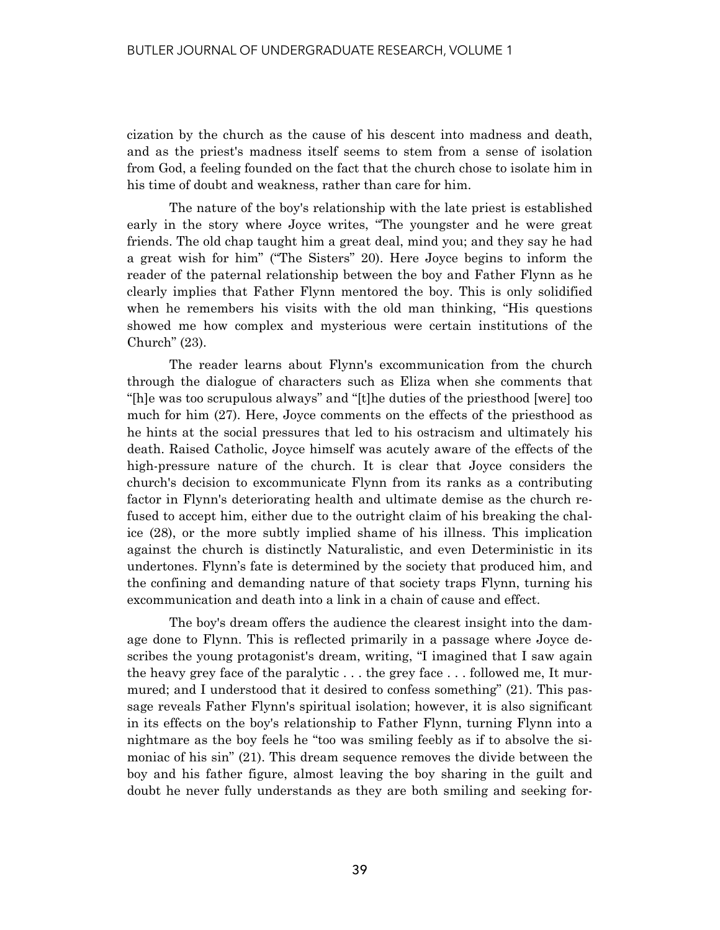cization by the church as the cause of his descent into madness and death, and as the priest's madness itself seems to stem from a sense of isolation from God, a feeling founded on the fact that the church chose to isolate him in his time of doubt and weakness, rather than care for him.

 The nature of the boy's relationship with the late priest is established early in the story where Joyce writes, "The youngster and he were great friends. The old chap taught him a great deal, mind you; and they say he had a great wish for him" ("The Sisters" 20). Here Joyce begins to inform the reader of the paternal relationship between the boy and Father Flynn as he clearly implies that Father Flynn mentored the boy. This is only solidified when he remembers his visits with the old man thinking, "His questions showed me how complex and mysterious were certain institutions of the Church" (23).

 The reader learns about Flynn's excommunication from the church through the dialogue of characters such as Eliza when she comments that "[h]e was too scrupulous always" and "[t]he duties of the priesthood [were] too much for him (27). Here, Joyce comments on the effects of the priesthood as he hints at the social pressures that led to his ostracism and ultimately his death. Raised Catholic, Joyce himself was acutely aware of the effects of the high-pressure nature of the church. It is clear that Joyce considers the church's decision to excommunicate Flynn from its ranks as a contributing factor in Flynn's deteriorating health and ultimate demise as the church refused to accept him, either due to the outright claim of his breaking the chalice (28), or the more subtly implied shame of his illness. This implication against the church is distinctly Naturalistic, and even Deterministic in its undertones. Flynn's fate is determined by the society that produced him, and the confining and demanding nature of that society traps Flynn, turning his excommunication and death into a link in a chain of cause and effect.

 The boy's dream offers the audience the clearest insight into the damage done to Flynn. This is reflected primarily in a passage where Joyce describes the young protagonist's dream, writing, "I imagined that I saw again the heavy grey face of the paralytic . . . the grey face . . . followed me, It murmured; and I understood that it desired to confess something" (21). This passage reveals Father Flynn's spiritual isolation; however, it is also significant in its effects on the boy's relationship to Father Flynn, turning Flynn into a nightmare as the boy feels he "too was smiling feebly as if to absolve the simoniac of his sin" (21). This dream sequence removes the divide between the boy and his father figure, almost leaving the boy sharing in the guilt and doubt he never fully understands as they are both smiling and seeking for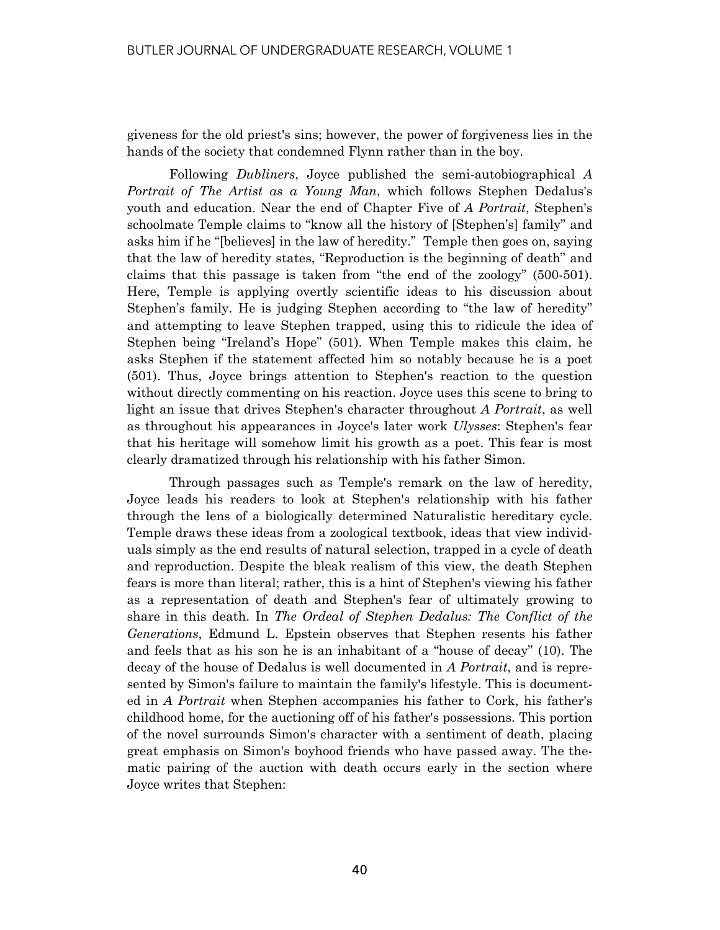giveness for the old priest's sins; however, the power of forgiveness lies in the hands of the society that condemned Flynn rather than in the boy.

 Following *Dubliners*, Joyce published the semi-autobiographical *A Portrait of The Artist as a Young Man*, which follows Stephen Dedalus's youth and education. Near the end of Chapter Five of *A Portrait*, Stephen's schoolmate Temple claims to "know all the history of [Stephen's] family" and asks him if he "[believes] in the law of heredity." Temple then goes on, saying that the law of heredity states, "Reproduction is the beginning of death" and claims that this passage is taken from "the end of the zoology" (500-501). Here, Temple is applying overtly scientific ideas to his discussion about Stephen's family. He is judging Stephen according to "the law of heredity" and attempting to leave Stephen trapped, using this to ridicule the idea of Stephen being "Ireland's Hope" (501). When Temple makes this claim, he asks Stephen if the statement affected him so notably because he is a poet (501). Thus, Joyce brings attention to Stephen's reaction to the question without directly commenting on his reaction. Joyce uses this scene to bring to light an issue that drives Stephen's character throughout *A Portrait*, as well as throughout his appearances in Joyce's later work *Ulysses*: Stephen's fear that his heritage will somehow limit his growth as a poet. This fear is most clearly dramatized through his relationship with his father Simon.

 Through passages such as Temple's remark on the law of heredity, Joyce leads his readers to look at Stephen's relationship with his father through the lens of a biologically determined Naturalistic hereditary cycle. Temple draws these ideas from a zoological textbook, ideas that view individuals simply as the end results of natural selection, trapped in a cycle of death and reproduction. Despite the bleak realism of this view, the death Stephen fears is more than literal; rather, this is a hint of Stephen's viewing his father as a representation of death and Stephen's fear of ultimately growing to share in this death. In *The Ordeal of Stephen Dedalus: The Conflict of the Generations*, Edmund L. Epstein observes that Stephen resents his father and feels that as his son he is an inhabitant of a "house of decay" (10). The decay of the house of Dedalus is well documented in *A Portrait*, and is represented by Simon's failure to maintain the family's lifestyle. This is documented in *A Portrait* when Stephen accompanies his father to Cork, his father's childhood home, for the auctioning off of his father's possessions. This portion of the novel surrounds Simon's character with a sentiment of death, placing great emphasis on Simon's boyhood friends who have passed away. The thematic pairing of the auction with death occurs early in the section where Joyce writes that Stephen: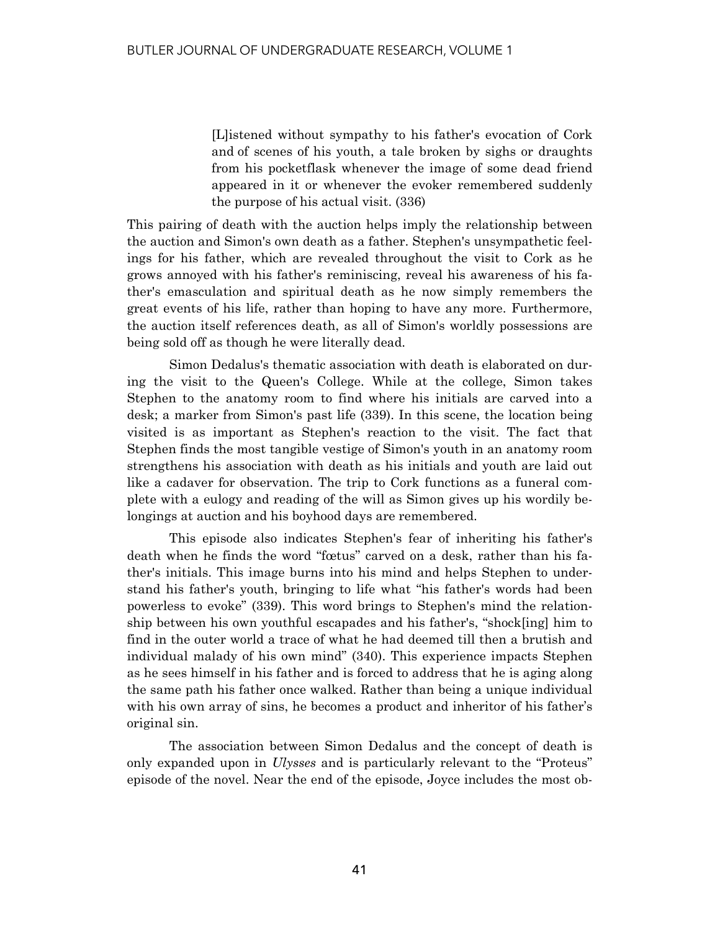[L]istened without sympathy to his father's evocation of Cork and of scenes of his youth, a tale broken by sighs or draughts from his pocketflask whenever the image of some dead friend appeared in it or whenever the evoker remembered suddenly the purpose of his actual visit. (336)

This pairing of death with the auction helps imply the relationship between the auction and Simon's own death as a father. Stephen's unsympathetic feelings for his father, which are revealed throughout the visit to Cork as he grows annoyed with his father's reminiscing, reveal his awareness of his father's emasculation and spiritual death as he now simply remembers the great events of his life, rather than hoping to have any more. Furthermore, the auction itself references death, as all of Simon's worldly possessions are being sold off as though he were literally dead.

 Simon Dedalus's thematic association with death is elaborated on during the visit to the Queen's College. While at the college, Simon takes Stephen to the anatomy room to find where his initials are carved into a desk; a marker from Simon's past life (339). In this scene, the location being visited is as important as Stephen's reaction to the visit. The fact that Stephen finds the most tangible vestige of Simon's youth in an anatomy room strengthens his association with death as his initials and youth are laid out like a cadaver for observation. The trip to Cork functions as a funeral complete with a eulogy and reading of the will as Simon gives up his wordily belongings at auction and his boyhood days are remembered.

 This episode also indicates Stephen's fear of inheriting his father's death when he finds the word "fœtus" carved on a desk, rather than his father's initials. This image burns into his mind and helps Stephen to understand his father's youth, bringing to life what "his father's words had been powerless to evoke" (339). This word brings to Stephen's mind the relationship between his own youthful escapades and his father's, "shock[ing] him to find in the outer world a trace of what he had deemed till then a brutish and individual malady of his own mind" (340). This experience impacts Stephen as he sees himself in his father and is forced to address that he is aging along the same path his father once walked. Rather than being a unique individual with his own array of sins, he becomes a product and inheritor of his father's original sin.

 The association between Simon Dedalus and the concept of death is only expanded upon in *Ulysses* and is particularly relevant to the "Proteus" episode of the novel. Near the end of the episode, Joyce includes the most ob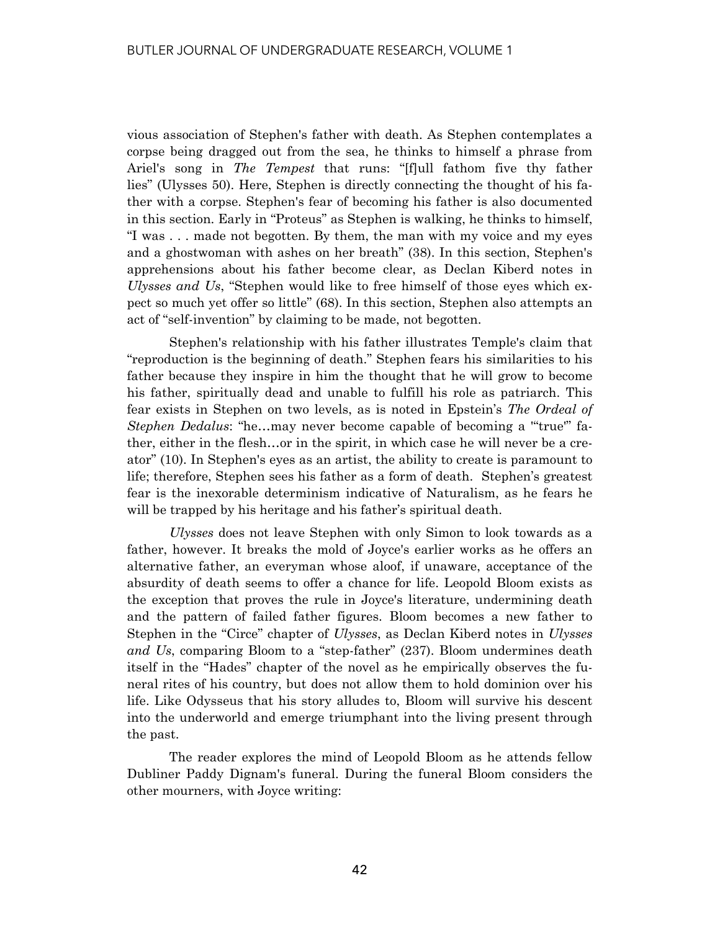vious association of Stephen's father with death. As Stephen contemplates a corpse being dragged out from the sea, he thinks to himself a phrase from Ariel's song in *The Tempest* that runs: "[f]ull fathom five thy father lies" (Ulysses 50). Here, Stephen is directly connecting the thought of his father with a corpse. Stephen's fear of becoming his father is also documented in this section. Early in "Proteus" as Stephen is walking, he thinks to himself, "I was . . . made not begotten. By them, the man with my voice and my eyes and a ghostwoman with ashes on her breath" (38). In this section, Stephen's apprehensions about his father become clear, as Declan Kiberd notes in *Ulysses and Us*, "Stephen would like to free himself of those eyes which expect so much yet offer so little" (68). In this section, Stephen also attempts an act of "self-invention" by claiming to be made, not begotten.

 Stephen's relationship with his father illustrates Temple's claim that "reproduction is the beginning of death." Stephen fears his similarities to his father because they inspire in him the thought that he will grow to become his father, spiritually dead and unable to fulfill his role as patriarch. This fear exists in Stephen on two levels, as is noted in Epstein's *The Ordeal of Stephen Dedalus*: "he…may never become capable of becoming a '"true'" father, either in the flesh…or in the spirit, in which case he will never be a creator" (10). In Stephen's eyes as an artist, the ability to create is paramount to life; therefore, Stephen sees his father as a form of death. Stephen's greatest fear is the inexorable determinism indicative of Naturalism, as he fears he will be trapped by his heritage and his father's spiritual death.

*Ulysses* does not leave Stephen with only Simon to look towards as a father, however. It breaks the mold of Joyce's earlier works as he offers an alternative father, an everyman whose aloof, if unaware, acceptance of the absurdity of death seems to offer a chance for life. Leopold Bloom exists as the exception that proves the rule in Joyce's literature, undermining death and the pattern of failed father figures. Bloom becomes a new father to Stephen in the "Circe" chapter of *Ulysses*, as Declan Kiberd notes in *Ulysses and Us*, comparing Bloom to a "step-father" (237). Bloom undermines death itself in the "Hades" chapter of the novel as he empirically observes the funeral rites of his country, but does not allow them to hold dominion over his life. Like Odysseus that his story alludes to, Bloom will survive his descent into the underworld and emerge triumphant into the living present through the past.

 The reader explores the mind of Leopold Bloom as he attends fellow Dubliner Paddy Dignam's funeral. During the funeral Bloom considers the other mourners, with Joyce writing: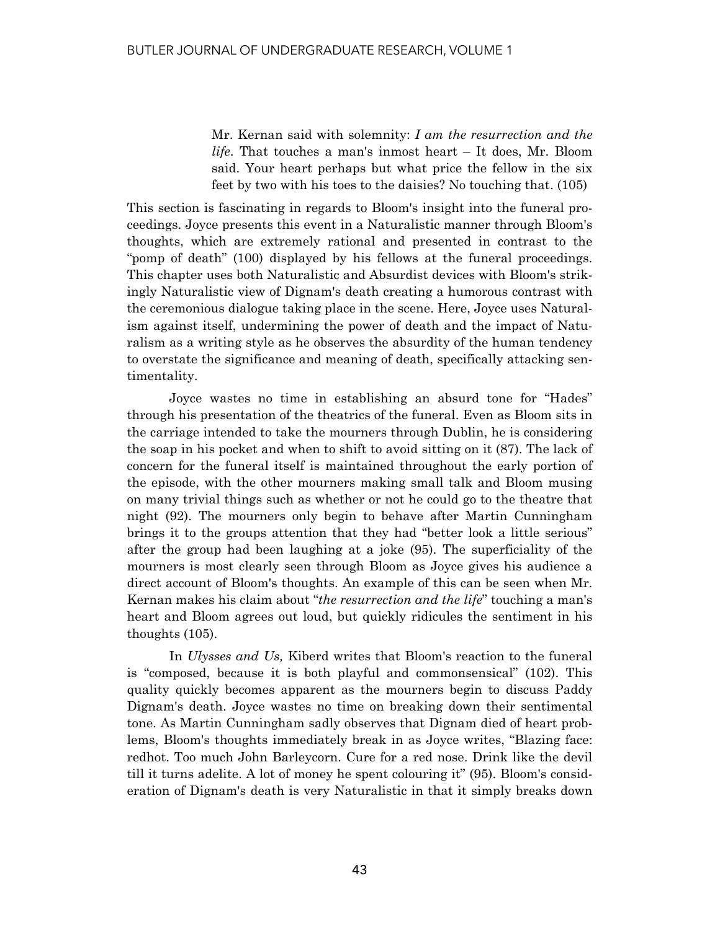Mr. Kernan said with solemnity: *I am the resurrection and the life*. That touches a man's inmost heart – It does, Mr. Bloom said. Your heart perhaps but what price the fellow in the six feet by two with his toes to the daisies? No touching that. (105)

This section is fascinating in regards to Bloom's insight into the funeral proceedings. Joyce presents this event in a Naturalistic manner through Bloom's thoughts, which are extremely rational and presented in contrast to the "pomp of death" (100) displayed by his fellows at the funeral proceedings. This chapter uses both Naturalistic and Absurdist devices with Bloom's strikingly Naturalistic view of Dignam's death creating a humorous contrast with the ceremonious dialogue taking place in the scene. Here, Joyce uses Naturalism against itself, undermining the power of death and the impact of Naturalism as a writing style as he observes the absurdity of the human tendency to overstate the significance and meaning of death, specifically attacking sentimentality.

 Joyce wastes no time in establishing an absurd tone for "Hades" through his presentation of the theatrics of the funeral. Even as Bloom sits in the carriage intended to take the mourners through Dublin, he is considering the soap in his pocket and when to shift to avoid sitting on it (87). The lack of concern for the funeral itself is maintained throughout the early portion of the episode, with the other mourners making small talk and Bloom musing on many trivial things such as whether or not he could go to the theatre that night (92). The mourners only begin to behave after Martin Cunningham brings it to the groups attention that they had "better look a little serious" after the group had been laughing at a joke (95). The superficiality of the mourners is most clearly seen through Bloom as Joyce gives his audience a direct account of Bloom's thoughts. An example of this can be seen when Mr. Kernan makes his claim about "*the resurrection and the life*" touching a man's heart and Bloom agrees out loud, but quickly ridicules the sentiment in his thoughts (105).

 In *Ulysses and Us,* Kiberd writes that Bloom's reaction to the funeral is "composed, because it is both playful and commonsensical" (102). This quality quickly becomes apparent as the mourners begin to discuss Paddy Dignam's death. Joyce wastes no time on breaking down their sentimental tone. As Martin Cunningham sadly observes that Dignam died of heart problems, Bloom's thoughts immediately break in as Joyce writes, "Blazing face: redhot. Too much John Barleycorn. Cure for a red nose. Drink like the devil till it turns adelite. A lot of money he spent colouring it" (95). Bloom's consideration of Dignam's death is very Naturalistic in that it simply breaks down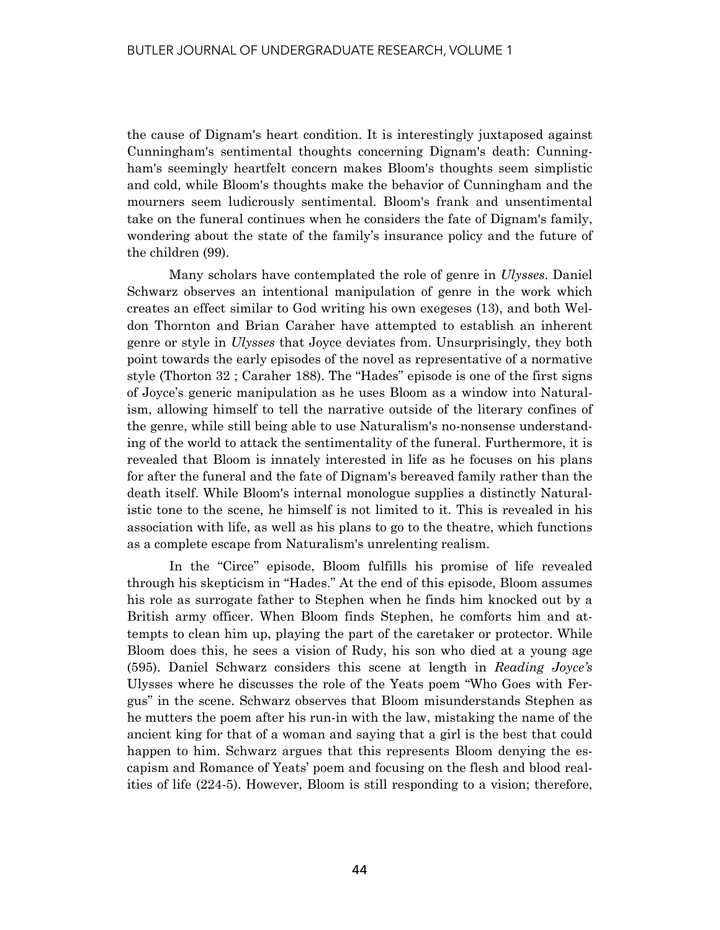the cause of Dignam's heart condition. It is interestingly juxtaposed against Cunningham's sentimental thoughts concerning Dignam's death: Cunningham's seemingly heartfelt concern makes Bloom's thoughts seem simplistic and cold, while Bloom's thoughts make the behavior of Cunningham and the mourners seem ludicrously sentimental. Bloom's frank and unsentimental take on the funeral continues when he considers the fate of Dignam's family, wondering about the state of the family's insurance policy and the future of the children (99).

 Many scholars have contemplated the role of genre in *Ulysses*. Daniel Schwarz observes an intentional manipulation of genre in the work which creates an effect similar to God writing his own exegeses (13), and both Weldon Thornton and Brian Caraher have attempted to establish an inherent genre or style in *Ulysses* that Joyce deviates from. Unsurprisingly, they both point towards the early episodes of the novel as representative of a normative style (Thorton 32 ; Caraher 188). The "Hades" episode is one of the first signs of Joyce's generic manipulation as he uses Bloom as a window into Naturalism, allowing himself to tell the narrative outside of the literary confines of the genre, while still being able to use Naturalism's no-nonsense understanding of the world to attack the sentimentality of the funeral. Furthermore, it is revealed that Bloom is innately interested in life as he focuses on his plans for after the funeral and the fate of Dignam's bereaved family rather than the death itself. While Bloom's internal monologue supplies a distinctly Naturalistic tone to the scene, he himself is not limited to it. This is revealed in his association with life, as well as his plans to go to the theatre, which functions as a complete escape from Naturalism's unrelenting realism.

 In the "Circe" episode, Bloom fulfills his promise of life revealed through his skepticism in "Hades." At the end of this episode, Bloom assumes his role as surrogate father to Stephen when he finds him knocked out by a British army officer. When Bloom finds Stephen, he comforts him and attempts to clean him up, playing the part of the caretaker or protector. While Bloom does this, he sees a vision of Rudy, his son who died at a young age (595). Daniel Schwarz considers this scene at length in *Reading Joyce's*  Ulysses where he discusses the role of the Yeats poem "Who Goes with Fergus" in the scene. Schwarz observes that Bloom misunderstands Stephen as he mutters the poem after his run-in with the law, mistaking the name of the ancient king for that of a woman and saying that a girl is the best that could happen to him. Schwarz argues that this represents Bloom denying the escapism and Romance of Yeats' poem and focusing on the flesh and blood realities of life (224-5). However, Bloom is still responding to a vision; therefore,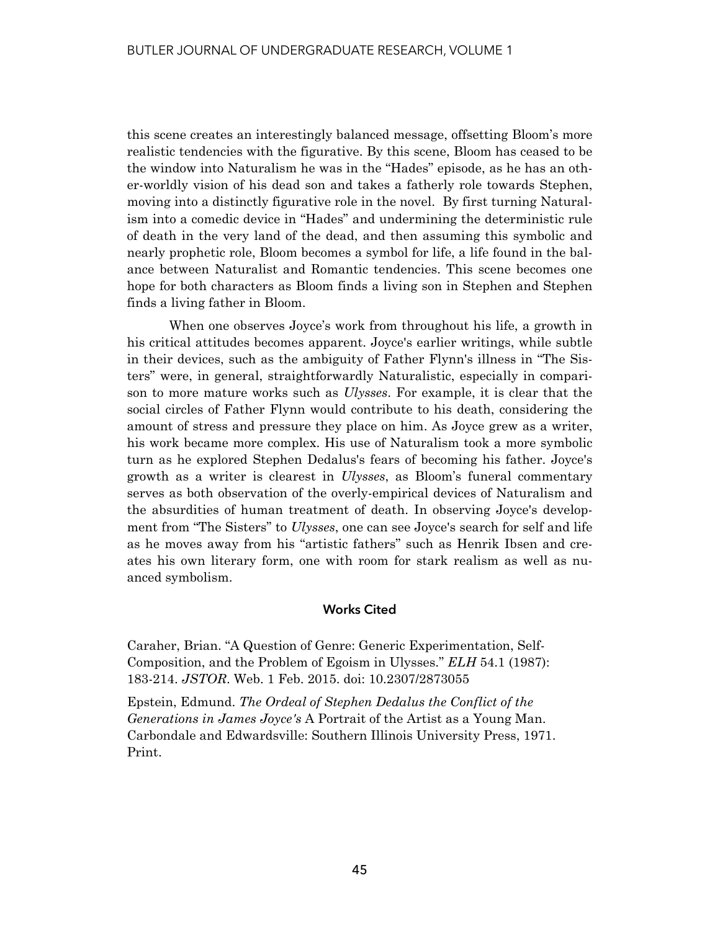this scene creates an interestingly balanced message, offsetting Bloom's more realistic tendencies with the figurative. By this scene, Bloom has ceased to be the window into Naturalism he was in the "Hades" episode, as he has an other-worldly vision of his dead son and takes a fatherly role towards Stephen, moving into a distinctly figurative role in the novel. By first turning Naturalism into a comedic device in "Hades" and undermining the deterministic rule of death in the very land of the dead, and then assuming this symbolic and nearly prophetic role, Bloom becomes a symbol for life, a life found in the balance between Naturalist and Romantic tendencies. This scene becomes one hope for both characters as Bloom finds a living son in Stephen and Stephen finds a living father in Bloom.

 When one observes Joyce's work from throughout his life, a growth in his critical attitudes becomes apparent. Joyce's earlier writings, while subtle in their devices, such as the ambiguity of Father Flynn's illness in "The Sisters" were, in general, straightforwardly Naturalistic, especially in comparison to more mature works such as *Ulysses*. For example, it is clear that the social circles of Father Flynn would contribute to his death, considering the amount of stress and pressure they place on him. As Joyce grew as a writer, his work became more complex. His use of Naturalism took a more symbolic turn as he explored Stephen Dedalus's fears of becoming his father. Joyce's growth as a writer is clearest in *Ulysses*, as Bloom's funeral commentary serves as both observation of the overly-empirical devices of Naturalism and the absurdities of human treatment of death. In observing Joyce's development from "The Sisters" to *Ulysses*, one can see Joyce's search for self and life as he moves away from his "artistic fathers" such as Henrik Ibsen and creates his own literary form, one with room for stark realism as well as nuanced symbolism.

### **Works Cited**

Caraher, Brian. "A Question of Genre: Generic Experimentation, Self-Composition, and the Problem of Egoism in Ulysses." *ELH* 54.1 (1987): 183-214. *JSTOR*. Web. 1 Feb. 2015. doi: 10.2307/2873055

Epstein, Edmund. *The Ordeal of Stephen Dedalus the Conflict of the Generations in James Joyce's* A Portrait of the Artist as a Young Man. Carbondale and Edwardsville: Southern Illinois University Press, 1971. Print.